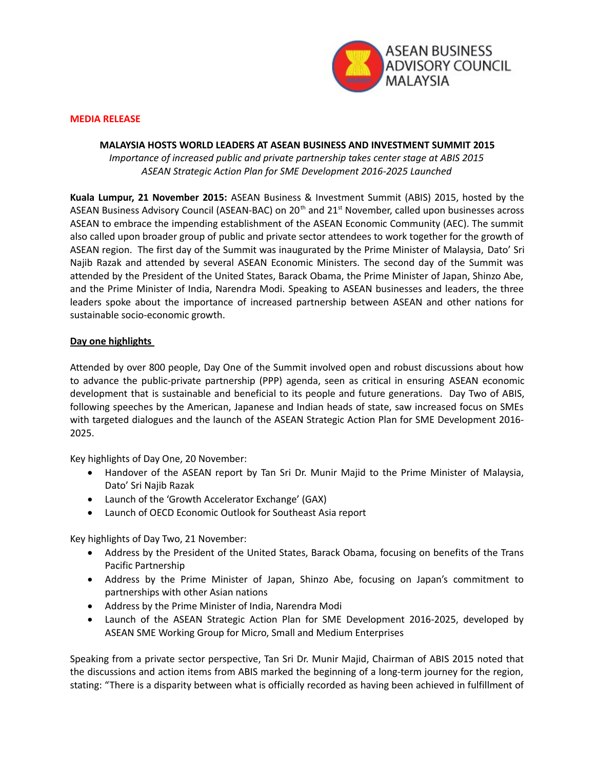

## **MEDIA RELEASE**

## **MALAYSIA HOSTS WORLD LEADERS AT ASEAN BUSINESS AND INVESTMENT SUMMIT 2015**

*Importance of increased public and private partnership takes center stage at ABIS 2015 ASEAN Strategic Action Plan for SME Development 2016-2025 Launched*

**Kuala Lumpur, 21 November 2015:** ASEAN Business & Investment Summit (ABIS) 2015, hosted by the ASEAN Business Advisory Council (ASEAN-BAC) on  $20<sup>th</sup>$  and  $21<sup>st</sup>$  November, called upon businesses across ASEAN to embrace the impending establishment of the ASEAN Economic Community (AEC). The summit also called upon broader group of public and private sector attendees to work together for the growth of ASEAN region. The first day of the Summit was inaugurated by the Prime Minister of Malaysia, Dato' Sri Najib Razak and attended by several ASEAN Economic Ministers. The second day of the Summit was attended by the President of the United States, Barack Obama, the Prime Minister of Japan, Shinzo Abe, and the Prime Minister of India, Narendra Modi. Speaking to ASEAN businesses and leaders, the three leaders spoke about the importance of increased partnership between ASEAN and other nations for sustainable socio-economic growth.

## **Day one highlights**

Attended by over 800 people, Day One of the Summit involved open and robust discussions about how to advance the public-private partnership (PPP) agenda, seen as critical in ensuring ASEAN economic development that is sustainable and beneficial to its people and future generations. Day Two of ABIS, following speeches by the American, Japanese and Indian heads of state, saw increased focus on SMEs with targeted dialogues and the launch of the ASEAN Strategic Action Plan for SME Development 2016- 2025.

Key highlights of Day One, 20 November:

- Handover of the ASEAN report by Tan Sri Dr. Munir Majid to the Prime Minister of Malaysia, Dato' Sri Najib Razak
- Launch of the 'Growth Accelerator Exchange' (GAX)
- Launch of OECD Economic Outlook for Southeast Asia report

Key highlights of Day Two, 21 November:

- Address by the President of the United States, Barack Obama, focusing on benefits of the Trans Pacific Partnership
- Address by the Prime Minister of Japan, Shinzo Abe, focusing on Japan's commitment to partnerships with other Asian nations
- Address by the Prime Minister of India, Narendra Modi
- Launch of the ASEAN Strategic Action Plan for SME Development 2016-2025, developed by ASEAN SME Working Group for Micro, Small and Medium Enterprises

Speaking from a private sector perspective, Tan Sri Dr. Munir Majid, Chairman of ABIS 2015 noted that the discussions and action items from ABIS marked the beginning of a long-term journey for the region, stating: "There is a disparity between what is officially recorded as having been achieved in fulfillment of